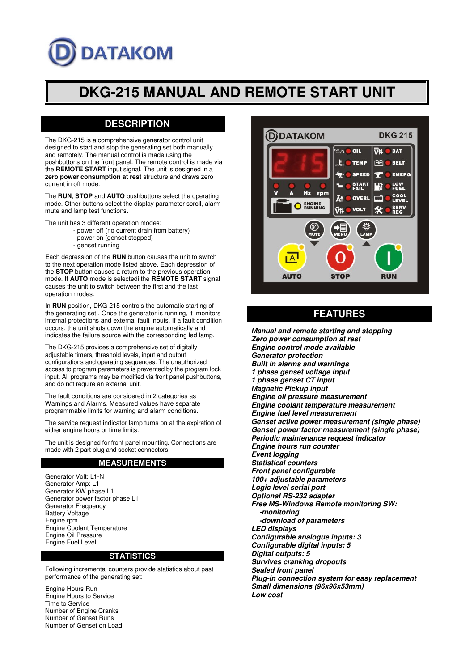# **DATAKOM**

# **DKG-215 MANUAL AND REMOTE START UNIT**

## **DESCRIPTION**

The DKG-215 is a comprehensive generator control unit designed to start and stop the generating set both manually and remotely. The manual control is made using the pushbuttons on the front panel. The remote control is made via the **REMOTE START** input signal. The unit is designed in a **zero power consumption at rest** structure and draws zero current in off mode.

The **RUN**, **STOP** and **AUTO** pushbuttons select the operating mode. Other buttons select the display parameter scroll, alarm mute and lamp test functions.

The unit has 3 different operation modes:

- power off (no current drain from battery)
	- power on (genset stopped)
	- genset running

Each depression of the **RUN** button causes the unit to switch to the next operation mode listed above. Each depression of the **STOP** button causes a return to the previous operation mode. If **AUTO** mode is selectedi the **REMOTE START** signal causes the unit to switch between the first and the last operation modes.

In **RUN** position, DKG-215 controls the automatic starting of the generating set . Once the generator is running, it monitors internal protections and external fault inputs. If a fault condition occurs, the unit shuts down the engine automatically and indicates the failure source with the corresponding led lamp.

The DKG-215 provides a comprehensive set of digitally adjustable timers, threshold levels, input and output configurations and operating sequences. The unauthorized access to program parameters is prevented by the program lock input. All programs may be modified via front panel pushbuttons, and do not require an external unit.

The fault conditions are considered in 2 categories as Warnings and Alarms. Measured values have separate programmable limits for warning and alarm conditions.

The service request indicator lamp turns on at the expiration of either engine hours or time limits.

The unit is designed for front panel mounting. Connections are made with 2 part plug and socket connectors.

#### **MEASUREMENTS**

Generator Volt: L1-N Generator Amp: L1 Generator KW phase L1 Generator power factor phase L1 Generator Frequency Battery Voltage Engine rpm Engine Coolant Temperature Engine Oil Pressure Engine Fuel Level

#### **STATISTICS**

Following incremental counters provide statistics about past performance of the generating set:

Engine Hours Run Engine Hours to Service Time to Service Number of Engine Cranks Number of Genset Runs Number of Genset on Load



### **FEATURES**

**Manual and remote starting and stopping Zero power consumption at rest Engine control mode available Generator protection Built in alarms and warnings 1 phase genset voltage input 1 phase genset CT input Magnetic Pickup input Engine oil pressure measurement Engine coolant temperature measurement Engine fuel level measurement Genset active power measurement (single phase) Genset power factor measurement (single phase) Periodic maintenance request indicator Engine hours run counter Event logging Statistical counters Front panel configurable 100+ adjustable parameters Logic level serial port Optional RS-232 adapter Free MS-Windows Remote monitoring SW: -monitoring -download of parameters LED displays Configurable analogue inputs: 3 Configurable digital inputs: 5 Digital outputs: 5 Survives cranking dropouts Sealed front panel Plug-in connection system for easy replacement Small dimensions (96x96x53mm) Low cost**